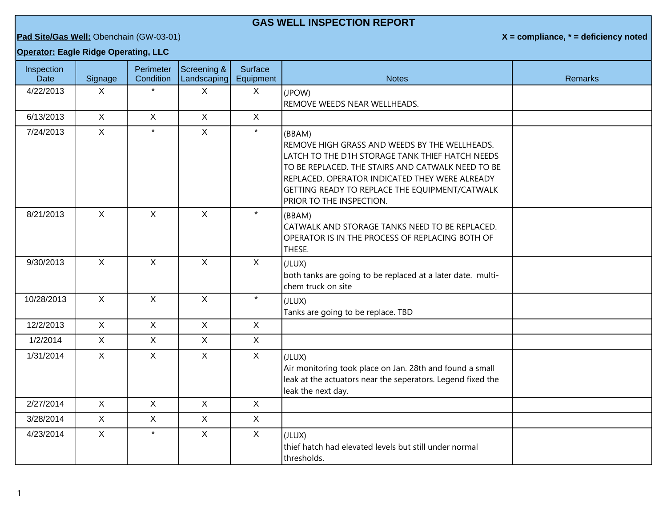## **GAS WELL INSPECTION REPORT**

**Pad Site/Gas Well:** Obenchain (GW-03-01) **X = compliance, \* = deficiency noted**

## **Operator: Eagle Ridge Operating, LLC**

| Inspection<br><b>Date</b> | Signage      | Perimeter<br>Condition | Screening &<br>Landscaping | Surface<br>Equipment | <b>Notes</b>                                                                                                                                                                                                                                                                                    | <b>Remarks</b> |
|---------------------------|--------------|------------------------|----------------------------|----------------------|-------------------------------------------------------------------------------------------------------------------------------------------------------------------------------------------------------------------------------------------------------------------------------------------------|----------------|
| 4/22/2013                 | X            | $\star$                | $\mathsf{X}$               | X                    | (JPOW)<br>REMOVE WEEDS NEAR WELLHEADS.                                                                                                                                                                                                                                                          |                |
| 6/13/2013                 | $\sf X$      | $\sf X$                | $\mathsf{X}$               | X                    |                                                                                                                                                                                                                                                                                                 |                |
| 7/24/2013                 | $\mathsf X$  | $\star$                | $\mathsf{X}$               | $\star$              | (BBAM)<br>REMOVE HIGH GRASS AND WEEDS BY THE WELLHEADS.<br>LATCH TO THE D1H STORAGE TANK THIEF HATCH NEEDS<br>TO BE REPLACED. THE STAIRS AND CATWALK NEED TO BE<br>REPLACED. OPERATOR INDICATED THEY WERE ALREADY<br>GETTING READY TO REPLACE THE EQUIPMENT/CATWALK<br>PRIOR TO THE INSPECTION. |                |
| 8/21/2013                 | $\mathsf{X}$ | $\mathsf{X}$           | $\mathsf{X}$               | $\star$              | (BBAM)<br>CATWALK AND STORAGE TANKS NEED TO BE REPLACED.<br>OPERATOR IS IN THE PROCESS OF REPLACING BOTH OF<br>THESE.                                                                                                                                                                           |                |
| 9/30/2013                 | $\mathsf{X}$ | $\mathsf{X}$           | $\mathsf{X}$               | $\mathsf{X}$         | (JLUX)<br>both tanks are going to be replaced at a later date. multi-<br>chem truck on site                                                                                                                                                                                                     |                |
| 10/28/2013                | $\mathsf{X}$ | $\mathsf{X}$           | $\mathsf{X}$               | $\star$              | (JLUX)<br>Tanks are going to be replace. TBD                                                                                                                                                                                                                                                    |                |
| 12/2/2013                 | $\mathsf{X}$ | $\mathsf{X}$           | $\mathsf{X}$               | $\mathsf{X}$         |                                                                                                                                                                                                                                                                                                 |                |
| 1/2/2014                  | $\mathsf{X}$ | $\mathsf{X}$           | $\mathsf{X}$               | $\mathsf{X}$         |                                                                                                                                                                                                                                                                                                 |                |
| 1/31/2014                 | $\mathsf{X}$ | X                      | $\mathsf{X}$               | X                    | (JLUX)<br>Air monitoring took place on Jan. 28th and found a small<br>leak at the actuators near the seperators. Legend fixed the<br>leak the next day.                                                                                                                                         |                |
| 2/27/2014                 | $\mathsf{X}$ | $\mathsf{X}$           | $\mathsf{X}$               | $\mathsf{X}$         |                                                                                                                                                                                                                                                                                                 |                |
| 3/28/2014                 | $\mathsf{X}$ | $\mathsf{X}$           | $\mathsf{X}$               | X                    |                                                                                                                                                                                                                                                                                                 |                |
| 4/23/2014                 | $\mathsf{X}$ | $\star$                | $\mathsf{X}$               | $\mathsf{X}$         | (JLUX)<br>thief hatch had elevated levels but still under normal<br>thresholds.                                                                                                                                                                                                                 |                |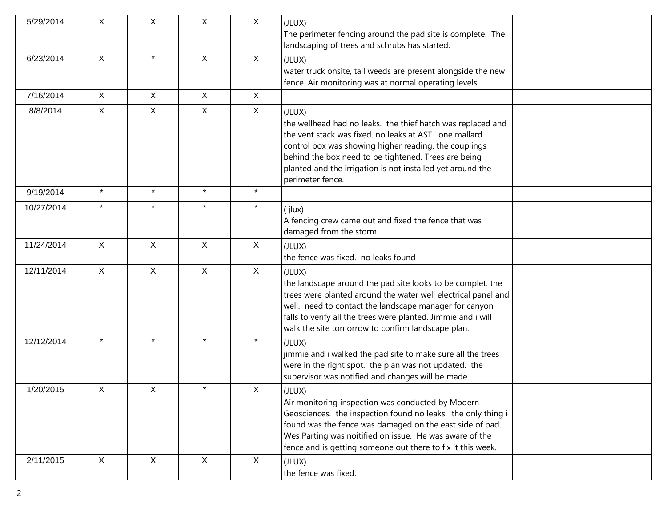| 5/29/2014  | X              | X            | X            | $\mathsf{X}$ | (JLUX)<br>The perimeter fencing around the pad site is complete. The<br>landscaping of trees and schrubs has started.                                                                                                                                                                                                              |  |
|------------|----------------|--------------|--------------|--------------|------------------------------------------------------------------------------------------------------------------------------------------------------------------------------------------------------------------------------------------------------------------------------------------------------------------------------------|--|
| 6/23/2014  | $\mathsf{X}$   | $\star$      | X            | $\mathsf{X}$ | (JLUX)<br>water truck onsite, tall weeds are present alongside the new<br>fence. Air monitoring was at normal operating levels.                                                                                                                                                                                                    |  |
| 7/16/2014  | $\mathsf{X}$   | $\mathsf{X}$ | $\mathsf{X}$ | $\mathsf{X}$ |                                                                                                                                                                                                                                                                                                                                    |  |
| 8/8/2014   | $\mathsf{X}$   | $\mathsf{X}$ | $\mathsf{X}$ | $\mathsf{X}$ | (JLUX)<br>the wellhead had no leaks. the thief hatch was replaced and<br>the vent stack was fixed, no leaks at AST, one mallard<br>control box was showing higher reading. the couplings<br>behind the box need to be tightened. Trees are being<br>planted and the irrigation is not installed yet around the<br>perimeter fence. |  |
| 9/19/2014  | $\star$        | $\star$      | $\star$      | $\star$      |                                                                                                                                                                                                                                                                                                                                    |  |
| 10/27/2014 | $\star$        | $\star$      | $\star$      | $\star$      | (jlux)<br>A fencing crew came out and fixed the fence that was<br>damaged from the storm.                                                                                                                                                                                                                                          |  |
| 11/24/2014 | $\pmb{\times}$ | X            | X            | $\mathsf{X}$ | (JLUX)<br>the fence was fixed. no leaks found                                                                                                                                                                                                                                                                                      |  |
| 12/11/2014 | X              | X            | $\mathsf{X}$ | $\mathsf{X}$ | (JLUX)<br>the landscape around the pad site looks to be complet. the<br>trees were planted around the water well electrical panel and<br>well. need to contact the landscape manager for canyon<br>falls to verify all the trees were planted. Jimmie and i will<br>walk the site tomorrow to confirm landscape plan.              |  |
| 12/12/2014 | $\star$        | $\star$      | $\star$      | $\star$      | (JLUX)<br>jimmie and i walked the pad site to make sure all the trees<br>were in the right spot. the plan was not updated. the<br>supervisor was notified and changes will be made.                                                                                                                                                |  |
| 1/20/2015  | X              | X            | $\star$      | X            | (JLUX)<br>Air monitoring inspection was conducted by Modern<br>Geosciences. the inspection found no leaks. the only thing i<br>found was the fence was damaged on the east side of pad.<br>Wes Parting was noitified on issue. He was aware of the<br>fence and is getting someone out there to fix it this week.                  |  |
| 2/11/2015  | X              | X            | X            | X            | (JLUX)<br>the fence was fixed.                                                                                                                                                                                                                                                                                                     |  |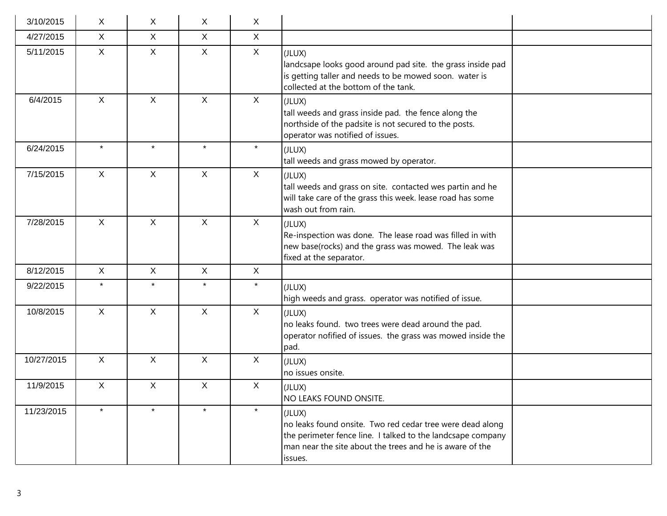| 3/10/2015  | X            | X            | X            | X            |                                                                                                                                                                                                           |  |
|------------|--------------|--------------|--------------|--------------|-----------------------------------------------------------------------------------------------------------------------------------------------------------------------------------------------------------|--|
| 4/27/2015  | $\mathsf{X}$ | $\mathsf{X}$ | $\mathsf{X}$ | $\mathsf{X}$ |                                                                                                                                                                                                           |  |
| 5/11/2015  | $\mathsf{X}$ | $\mathsf{X}$ | $\mathsf{X}$ | $\mathsf{X}$ | (JLUX)<br>landcsape looks good around pad site. the grass inside pad<br>is getting taller and needs to be mowed soon. water is<br>collected at the bottom of the tank.                                    |  |
| 6/4/2015   | $\mathsf{X}$ | $\mathsf{X}$ | $\mathsf{X}$ | X            | (JLUX)<br>tall weeds and grass inside pad. the fence along the<br>northside of the padsite is not secured to the posts.<br>operator was notified of issues.                                               |  |
| 6/24/2015  | $\star$      | $\star$      | $\star$      | $\star$      | (JLUX)<br>tall weeds and grass mowed by operator.                                                                                                                                                         |  |
| 7/15/2015  | $\mathsf{X}$ | $\mathsf{X}$ | $\mathsf{X}$ | X            | (JLUX)<br>tall weeds and grass on site. contacted wes partin and he<br>will take care of the grass this week. lease road has some<br>wash out from rain.                                                  |  |
| 7/28/2015  | $\mathsf{X}$ | X            | $\mathsf{X}$ | $\mathsf{X}$ | (JLUX)<br>Re-inspection was done. The lease road was filled in with<br>new base(rocks) and the grass was mowed. The leak was<br>fixed at the separator.                                                   |  |
| 8/12/2015  | $\mathsf{X}$ | $\mathsf{X}$ | $\mathsf{X}$ | $\mathsf{X}$ |                                                                                                                                                                                                           |  |
| 9/22/2015  | $\star$      | $\star$      | $\star$      | $\star$      | (JLUX)<br>high weeds and grass. operator was notified of issue.                                                                                                                                           |  |
| 10/8/2015  | $\mathsf{X}$ | $\mathsf{X}$ | $\mathsf{X}$ | $\mathsf{X}$ | (JLUX)<br>no leaks found. two trees were dead around the pad.<br>operator nofified of issues. the grass was mowed inside the<br>pad.                                                                      |  |
| 10/27/2015 | X            | $\mathsf{X}$ | $\mathsf{X}$ | $\mathsf{X}$ | (JLUX)<br>no issues onsite.                                                                                                                                                                               |  |
| 11/9/2015  | $\mathsf{X}$ | $\mathsf{X}$ | $\mathsf{X}$ | $\mathsf{X}$ | (JLUX)<br>NO LEAKS FOUND ONSITE.                                                                                                                                                                          |  |
| 11/23/2015 | $\star$      | $\star$      | $\star$      | $\star$      | (JLUX)<br>no leaks found onsite. Two red cedar tree were dead along<br>the perimeter fence line. I talked to the landcsape company<br>man near the site about the trees and he is aware of the<br>issues. |  |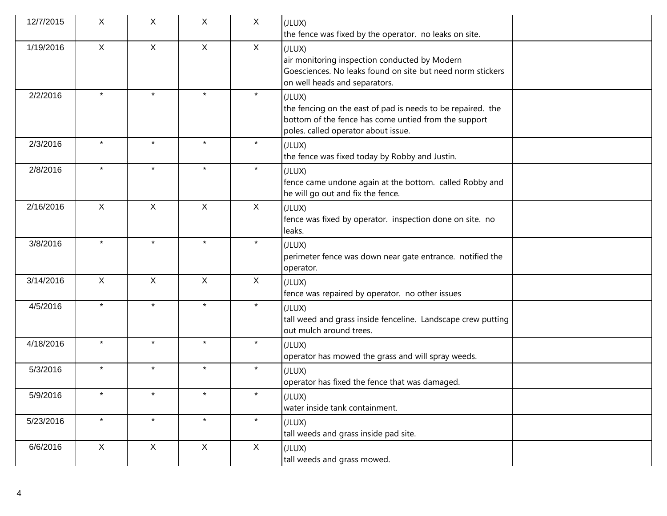| 12/7/2015 | X            | X            | X            | $\sf X$      | (JLUX)<br>the fence was fixed by the operator. no leaks on site.                                                                                                     |
|-----------|--------------|--------------|--------------|--------------|----------------------------------------------------------------------------------------------------------------------------------------------------------------------|
| 1/19/2016 | $\mathsf{X}$ | $\mathsf{X}$ | $\mathsf{X}$ | $\mathsf{X}$ | (JLUX)<br>air monitoring inspection conducted by Modern<br>Goesciences. No leaks found on site but need norm stickers<br>on well heads and separators.               |
| 2/2/2016  | $\star$      | $\star$      | $\star$      | $\star$      | (JLUX)<br>the fencing on the east of pad is needs to be repaired. the<br>bottom of the fence has come untied from the support<br>poles. called operator about issue. |
| 2/3/2016  | $\star$      | $\star$      | $\star$      | $\star$      | (JLUX)<br>the fence was fixed today by Robby and Justin.                                                                                                             |
| 2/8/2016  | $\star$      | $\star$      | $\star$      | $\star$      | (JLUX)<br>fence came undone again at the bottom. called Robby and<br>he will go out and fix the fence.                                                               |
| 2/16/2016 | $\mathsf{X}$ | $\mathsf{X}$ | $\mathsf X$  | $\mathsf{X}$ | (JLUX)<br>fence was fixed by operator. inspection done on site. no<br>leaks.                                                                                         |
| 3/8/2016  | $\star$      | $\star$      | $\star$      | $\star$      | (JLUX)<br>perimeter fence was down near gate entrance. notified the<br>operator.                                                                                     |
| 3/14/2016 | $\mathsf{X}$ | $\mathsf{X}$ | $\mathsf{X}$ | $\mathsf{X}$ | (JLUX)<br>fence was repaired by operator. no other issues                                                                                                            |
| 4/5/2016  | $\star$      | $\star$      | $\star$      | $\star$      | (JLUX)<br>tall weed and grass inside fenceline. Landscape crew putting<br>out mulch around trees.                                                                    |
| 4/18/2016 | $\star$      | $\star$      | $\star$      | $\star$      | (JLUX)<br>operator has mowed the grass and will spray weeds.                                                                                                         |
| 5/3/2016  | $\star$      | $\star$      | $\star$      | $\star$      | (JLUX)<br>operator has fixed the fence that was damaged.                                                                                                             |
| 5/9/2016  |              |              |              |              | (JLUX)<br>water inside tank containment.                                                                                                                             |
| 5/23/2016 | $\star$      | $\star$      | $\star$      | $\star$      | (JLUX)<br>tall weeds and grass inside pad site.                                                                                                                      |
| 6/6/2016  | $\mathsf{X}$ | $\mathsf{X}$ | $\mathsf{X}$ | X            | (JLUX)<br>tall weeds and grass mowed.                                                                                                                                |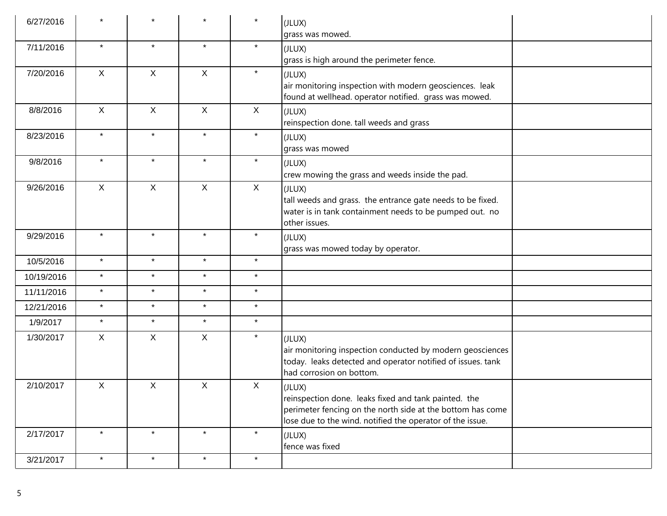| 6/27/2016  |              |              |              | $\star$      | (JLUX)<br>grass was mowed.                                                                                                                                                                |  |
|------------|--------------|--------------|--------------|--------------|-------------------------------------------------------------------------------------------------------------------------------------------------------------------------------------------|--|
| 7/11/2016  | $\star$      | $\star$      | $\star$      | $\star$      | (JLUX)<br>grass is high around the perimeter fence.                                                                                                                                       |  |
| 7/20/2016  | $\mathsf{X}$ | $\mathsf{X}$ | $\mathsf{X}$ | $\star$      | (JLUX)<br>air monitoring inspection with modern geosciences. leak<br>found at wellhead. operator notified. grass was mowed.                                                               |  |
| 8/8/2016   | $\mathsf{X}$ | $\mathsf{X}$ | $\mathsf{X}$ | $\mathsf{X}$ | (JLUX)<br>reinspection done. tall weeds and grass                                                                                                                                         |  |
| 8/23/2016  | $\star$      | $\star$      | $\star$      | $\star$      | (JLUX)<br>grass was mowed                                                                                                                                                                 |  |
| 9/8/2016   | $\star$      | $\star$      | $\star$      | $\star$      | (JLUX)<br>crew mowing the grass and weeds inside the pad.                                                                                                                                 |  |
| 9/26/2016  | $\mathsf{X}$ | X            | X            | $\mathsf{X}$ | (JLUX)<br>tall weeds and grass. the entrance gate needs to be fixed.<br>water is in tank containment needs to be pumped out. no<br>other issues.                                          |  |
| 9/29/2016  | $\star$      | $\star$      | $\star$      | $\star$      | (JLUX)<br>grass was mowed today by operator.                                                                                                                                              |  |
| 10/5/2016  | $\star$      | $\star$      | $\star$      | $\star$      |                                                                                                                                                                                           |  |
| 10/19/2016 | $\star$      | $\star$      | $\star$      | $\star$      |                                                                                                                                                                                           |  |
| 11/11/2016 | $\star$      | $\star$      | $\star$      | $\star$      |                                                                                                                                                                                           |  |
| 12/21/2016 | $\star$      | $\star$      | $\star$      | $\star$      |                                                                                                                                                                                           |  |
| 1/9/2017   | $\star$      | $\star$      | $\star$      | $\star$      |                                                                                                                                                                                           |  |
| 1/30/2017  | X            | $\mathsf{X}$ | $\mathsf{X}$ | $\star$      | (JLUX)<br>air monitoring inspection conducted by modern geosciences<br>today. leaks detected and operator notified of issues. tank<br>had corrosion on bottom.                            |  |
| 2/10/2017  | X            | X            | X            | X            | (JLUX)<br>reinspection done. leaks fixed and tank painted. the<br>perimeter fencing on the north side at the bottom has come<br>lose due to the wind. notified the operator of the issue. |  |
| 2/17/2017  | $\star$      | $\star$      | $\star$      | $\star$      | (JLUX)<br>fence was fixed                                                                                                                                                                 |  |
| 3/21/2017  | $\star$      | $\star$      | $\star$      | $\star$      |                                                                                                                                                                                           |  |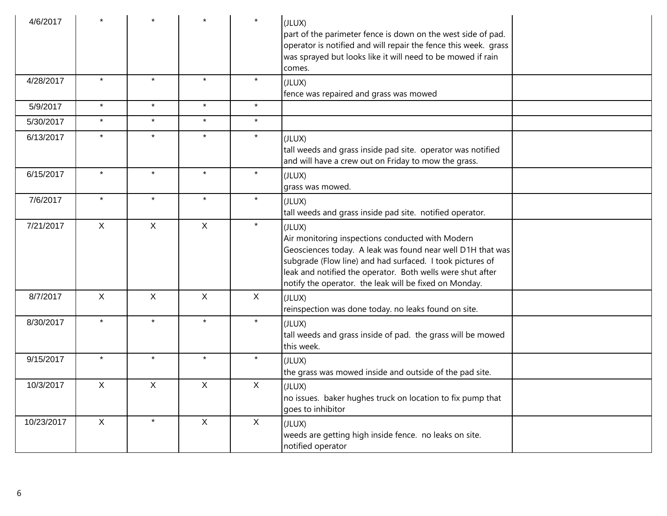| 4/6/2017   |             |             |              | $\star$      | (JLUX)<br>part of the parimeter fence is down on the west side of pad.<br>operator is notified and will repair the fence this week. grass<br>was sprayed but looks like it will need to be mowed if rain<br>comes.                                                                                            |
|------------|-------------|-------------|--------------|--------------|---------------------------------------------------------------------------------------------------------------------------------------------------------------------------------------------------------------------------------------------------------------------------------------------------------------|
| 4/28/2017  | $\star$     | $\star$     | $\star$      | $\star$      | (JLUX)<br>fence was repaired and grass was mowed                                                                                                                                                                                                                                                              |
| 5/9/2017   | $\star$     | $\star$     | $\star$      | $\star$      |                                                                                                                                                                                                                                                                                                               |
| 5/30/2017  | $\star$     | $\star$     | $\star$      | $\star$      |                                                                                                                                                                                                                                                                                                               |
| 6/13/2017  | $\star$     | $\star$     | $\star$      | $\star$      | (JLUX)<br>tall weeds and grass inside pad site. operator was notified<br>and will have a crew out on Friday to mow the grass.                                                                                                                                                                                 |
| 6/15/2017  | $\star$     | $\star$     | $\star$      | $\star$      | (JLUX)<br>grass was mowed.                                                                                                                                                                                                                                                                                    |
| 7/6/2017   | $\star$     | $\star$     | $\star$      | $\star$      | (JLUX)<br>tall weeds and grass inside pad site. notified operator.                                                                                                                                                                                                                                            |
| 7/21/2017  | $\mathsf X$ | X           | $\mathsf X$  | $\star$      | (JLUX)<br>Air monitoring inspections conducted with Modern<br>Geosciences today. A leak was found near well D1H that was<br>subgrade (Flow line) and had surfaced. I took pictures of<br>leak and notified the operator. Both wells were shut after<br>notify the operator. the leak will be fixed on Monday. |
| 8/7/2017   | $\mathsf X$ | $\mathsf X$ | $\mathsf{X}$ | $\mathsf{X}$ | (JLUX)<br>reinspection was done today. no leaks found on site.                                                                                                                                                                                                                                                |
| 8/30/2017  | $\star$     | $\star$     | $\star$      | $\star$      | (JLUX)<br>tall weeds and grass inside of pad. the grass will be mowed<br>this week.                                                                                                                                                                                                                           |
| 9/15/2017  | $\star$     | $\star$     | $\star$      | $\star$      | (JLUX)<br>the grass was mowed inside and outside of the pad site.                                                                                                                                                                                                                                             |
| 10/3/2017  | $\mathsf X$ | $\mathsf X$ | $\mathsf{X}$ | $\mathsf{X}$ | (JLUX)<br>no issues. baker hughes truck on location to fix pump that<br>goes to inhibitor                                                                                                                                                                                                                     |
| 10/23/2017 | $\mathsf X$ | $\star$     | $\mathsf X$  | $\mathsf X$  | (JLUX)<br>weeds are getting high inside fence. no leaks on site.<br>notified operator                                                                                                                                                                                                                         |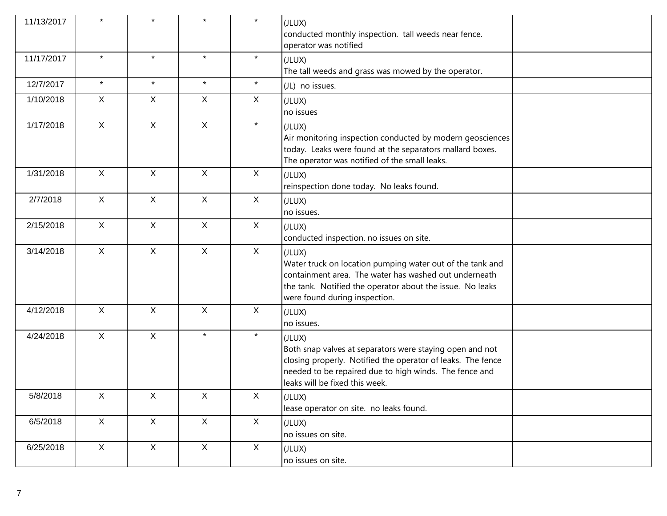| 11/13/2017 |              |              |              | $\star$      | (JLUX)<br>conducted monthly inspection. tall weeds near fence.<br>operator was notified                                                                                                                                       |
|------------|--------------|--------------|--------------|--------------|-------------------------------------------------------------------------------------------------------------------------------------------------------------------------------------------------------------------------------|
| 11/17/2017 | $\star$      | $\star$      | $\star$      | $\star$      | (JLUX)<br>The tall weeds and grass was mowed by the operator.                                                                                                                                                                 |
| 12/7/2017  | $\star$      | $\star$      | $\star$      | $\star$      | (JL) no issues.                                                                                                                                                                                                               |
| 1/10/2018  | $\mathsf X$  | X            | $\mathsf{X}$ | $\mathsf{X}$ | (JLUX)<br>no issues                                                                                                                                                                                                           |
| 1/17/2018  | X            | $\mathsf{X}$ | $\mathsf{X}$ | $\star$      | (JLUX)<br>Air monitoring inspection conducted by modern geosciences<br>today. Leaks were found at the separators mallard boxes.<br>The operator was notified of the small leaks.                                              |
| 1/31/2018  | $\mathsf{X}$ | $\mathsf{X}$ | $\mathsf{X}$ | X            | (JLUX)<br>reinspection done today. No leaks found.                                                                                                                                                                            |
| 2/7/2018   | $\mathsf{X}$ | $\mathsf{X}$ | $\mathsf{X}$ | X            | (JLUX)<br>no issues.                                                                                                                                                                                                          |
| 2/15/2018  | $\mathsf{X}$ | $\mathsf{X}$ | $\mathsf{X}$ | X            | (JLUX)<br>conducted inspection. no issues on site.                                                                                                                                                                            |
| 3/14/2018  | $\mathsf{X}$ | $\mathsf{X}$ | $\mathsf{X}$ | X            | (JLUX)<br>Water truck on location pumping water out of the tank and<br>containment area. The water has washed out underneath<br>the tank. Notified the operator about the issue. No leaks<br>were found during inspection.    |
| 4/12/2018  | $\mathsf{X}$ | X            | $\mathsf{X}$ | X            | (JLUX)<br>no issues.                                                                                                                                                                                                          |
| 4/24/2018  | $\mathsf{X}$ | $\mathsf{X}$ | $\star$      | $\star$      | (JLUX)<br>Both snap valves at separators were staying open and not<br>closing properly. Notified the operator of leaks. The fence<br>needed to be repaired due to high winds. The fence and<br>leaks will be fixed this week. |
| 5/8/2018   | X            | X            | X            | X            | (JLUX)<br>lease operator on site. no leaks found.                                                                                                                                                                             |
| 6/5/2018   | X            | X            | X            | X            | (JLUX)<br>no issues on site.                                                                                                                                                                                                  |
| 6/25/2018  | X            | $\mathsf{X}$ | $\mathsf{X}$ | X            | (JLUX)<br>no issues on site.                                                                                                                                                                                                  |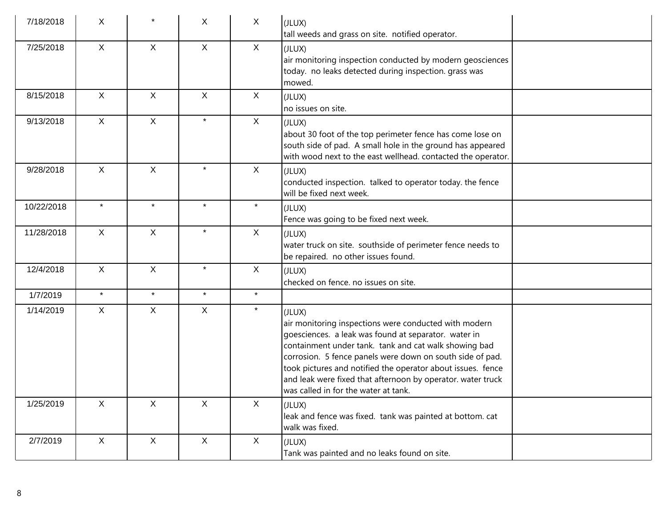| 7/18/2018  | X            |              | X            | $\mathsf{X}$ | (JLUX)<br>tall weeds and grass on site. notified operator.                                                                                                                                                                                                                                                                                                                                                          |
|------------|--------------|--------------|--------------|--------------|---------------------------------------------------------------------------------------------------------------------------------------------------------------------------------------------------------------------------------------------------------------------------------------------------------------------------------------------------------------------------------------------------------------------|
| 7/25/2018  | X            | $\mathsf{X}$ | $\mathsf{X}$ | $\sf X$      | (JLUX)<br>air monitoring inspection conducted by modern geosciences<br>today. no leaks detected during inspection. grass was<br>mowed.                                                                                                                                                                                                                                                                              |
| 8/15/2018  | $\mathsf{X}$ | $\mathsf{X}$ | $\mathsf{X}$ | $\sf X$      | (JLUX)<br>$ $ no issues on site.                                                                                                                                                                                                                                                                                                                                                                                    |
| 9/13/2018  | $\mathsf{X}$ | $\mathsf{X}$ | $\star$      | $\mathsf{X}$ | (JLUX)<br>about 30 foot of the top perimeter fence has come lose on<br>south side of pad. A small hole in the ground has appeared<br>with wood next to the east wellhead. contacted the operator.                                                                                                                                                                                                                   |
| 9/28/2018  | $\mathsf{X}$ | X            | $\star$      | $\mathsf{X}$ | (JLUX)<br>conducted inspection. talked to operator today. the fence<br>will be fixed next week.                                                                                                                                                                                                                                                                                                                     |
| 10/22/2018 | $\star$      | $\star$      | $\star$      | $\star$      | (JLUX)<br>Fence was going to be fixed next week.                                                                                                                                                                                                                                                                                                                                                                    |
| 11/28/2018 | $\mathsf{X}$ | $\mathsf{X}$ | $\star$      | $\mathsf X$  | (JLUX)<br>water truck on site. southside of perimeter fence needs to<br>be repaired. no other issues found.                                                                                                                                                                                                                                                                                                         |
| 12/4/2018  | $\mathsf{X}$ | X            | $\star$      | $\sf X$      | (JLUX)<br>checked on fence. no issues on site.                                                                                                                                                                                                                                                                                                                                                                      |
| 1/7/2019   | $\star$      | $\star$      | $\star$      | $\star$      |                                                                                                                                                                                                                                                                                                                                                                                                                     |
| 1/14/2019  | $\mathsf{X}$ | $\mathsf{X}$ | $\mathsf X$  | $\star$      | (JLUX)<br>air monitoring inspections were conducted with modern<br>goesciences. a leak was found at separator. water in<br>containment under tank. tank and cat walk showing bad<br>corrosion. 5 fence panels were down on south side of pad.<br>took pictures and notified the operator about issues. fence<br>and leak were fixed that afternoon by operator. water truck<br>was called in for the water at tank. |
| 1/25/2019  | $\mathsf{X}$ | $\mathsf{X}$ | $\mathsf X$  | $\mathsf X$  | (JLUX)<br>leak and fence was fixed. tank was painted at bottom. cat<br>walk was fixed.                                                                                                                                                                                                                                                                                                                              |
| 2/7/2019   | $\mathsf{X}$ | $\mathsf X$  | $\mathsf{X}$ | $\mathsf{X}$ | (JLUX)<br>Tank was painted and no leaks found on site.                                                                                                                                                                                                                                                                                                                                                              |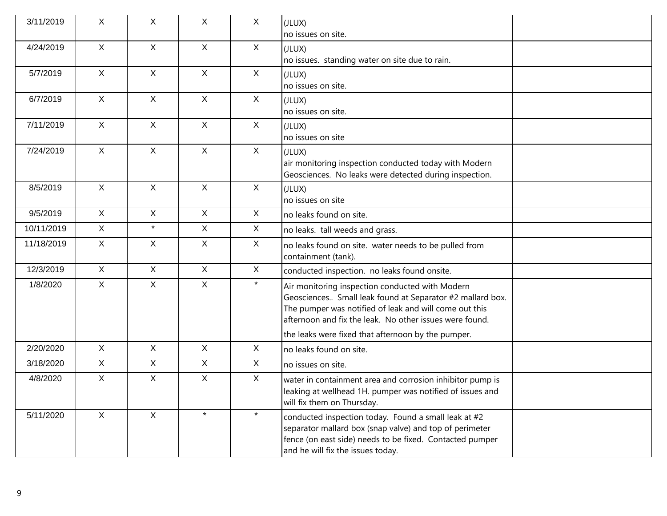| 3/11/2019  | X            | X            | X            | $\mathsf{X}$ | (JLUX)<br>no issues on site.                                                                                                                                                                                                                                                            |
|------------|--------------|--------------|--------------|--------------|-----------------------------------------------------------------------------------------------------------------------------------------------------------------------------------------------------------------------------------------------------------------------------------------|
| 4/24/2019  | $\mathsf{X}$ | $\mathsf{X}$ | $\mathsf{X}$ | $\mathsf{X}$ | (JLUX)<br>no issues. standing water on site due to rain.                                                                                                                                                                                                                                |
| 5/7/2019   | $\mathsf{X}$ | $\mathsf{X}$ | $\mathsf{X}$ | $\mathsf{X}$ | (JLUX)<br>no issues on site.                                                                                                                                                                                                                                                            |
| 6/7/2019   | $\mathsf{X}$ | $\mathsf{X}$ | $\mathsf{X}$ | $\mathsf{X}$ | (JLUX)<br>no issues on site.                                                                                                                                                                                                                                                            |
| 7/11/2019  | $\mathsf{X}$ | $\mathsf{X}$ | $\mathsf{X}$ | $\mathsf{X}$ | (JLUX)<br>no issues on site                                                                                                                                                                                                                                                             |
| 7/24/2019  | X            | $\mathsf{X}$ | $\mathsf{X}$ | $\mathsf{X}$ | (JLUX)<br>air monitoring inspection conducted today with Modern<br>Geosciences. No leaks were detected during inspection.                                                                                                                                                               |
| 8/5/2019   | $\mathsf{X}$ | X            | $\mathsf{X}$ | $\mathsf{X}$ | (JLUX)<br>no issues on site                                                                                                                                                                                                                                                             |
| 9/5/2019   | X            | $\mathsf{X}$ | $\mathsf{X}$ | $\mathsf{X}$ | no leaks found on site.                                                                                                                                                                                                                                                                 |
| 10/11/2019 | $\mathsf{X}$ | $\star$      | X            | X            | no leaks. tall weeds and grass.                                                                                                                                                                                                                                                         |
| 11/18/2019 | X            | X            | $\mathsf{X}$ | $\mathsf{X}$ | no leaks found on site. water needs to be pulled from<br>containment (tank).                                                                                                                                                                                                            |
| 12/3/2019  | $\mathsf{X}$ | X            | $\mathsf{X}$ | $\mathsf{X}$ | conducted inspection. no leaks found onsite.                                                                                                                                                                                                                                            |
| 1/8/2020   | $\mathsf{X}$ | X            | $\mathsf{X}$ | $\star$      | Air monitoring inspection conducted with Modern<br>Geosciences Small leak found at Separator #2 mallard box.<br>The pumper was notified of leak and will come out this<br>afternoon and fix the leak. No other issues were found.<br>the leaks were fixed that afternoon by the pumper. |
| 2/20/2020  | $\mathsf{X}$ | $\mathsf{X}$ | $\mathsf{X}$ | $\mathsf{X}$ | no leaks found on site.                                                                                                                                                                                                                                                                 |
| 3/18/2020  | $\mathsf{X}$ | $\mathsf{X}$ | $\mathsf{X}$ | $\mathsf{X}$ | no issues on site.                                                                                                                                                                                                                                                                      |
| 4/8/2020   | X            | X            | $\mathsf{X}$ | $\mathsf{X}$ | water in containment area and corrosion inhibitor pump is<br>leaking at wellhead 1H. pumper was notified of issues and<br>will fix them on Thursday.                                                                                                                                    |
| 5/11/2020  | X            | $\mathsf{X}$ | $\star$      | $\star$      | conducted inspection today. Found a small leak at #2<br>separator mallard box (snap valve) and top of perimeter<br>fence (on east side) needs to be fixed. Contacted pumper<br>and he will fix the issues today.                                                                        |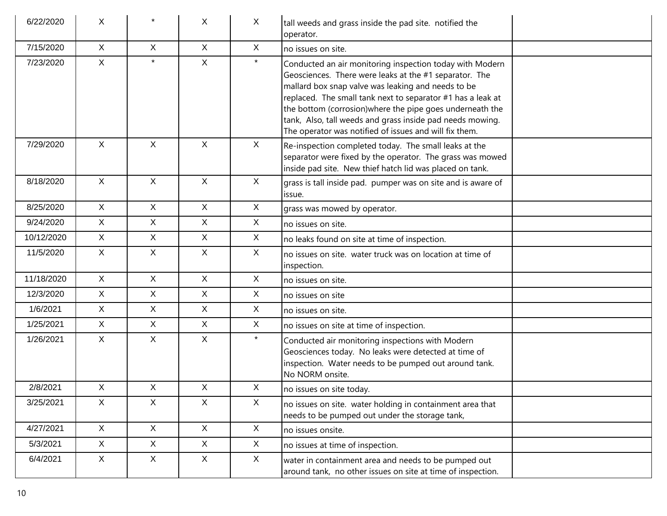| 6/22/2020  | X            |              | X            | X            | tall weeds and grass inside the pad site. notified the<br>operator.                                                                                                                                                                                                                                                                                                                                                         |
|------------|--------------|--------------|--------------|--------------|-----------------------------------------------------------------------------------------------------------------------------------------------------------------------------------------------------------------------------------------------------------------------------------------------------------------------------------------------------------------------------------------------------------------------------|
| 7/15/2020  | X            | $\mathsf{X}$ | X            | X            | no issues on site.                                                                                                                                                                                                                                                                                                                                                                                                          |
| 7/23/2020  | $\mathsf{X}$ | $\star$      | X            | $\star$      | Conducted an air monitoring inspection today with Modern<br>Geosciences. There were leaks at the #1 separator. The<br>mallard box snap valve was leaking and needs to be<br>replaced. The small tank next to separator #1 has a leak at<br>the bottom (corrosion) where the pipe goes underneath the<br>tank, Also, tall weeds and grass inside pad needs mowing.<br>The operator was notified of issues and will fix them. |
| 7/29/2020  | X            | $\mathsf{X}$ | $\mathsf{X}$ | $\mathsf{X}$ | Re-inspection completed today. The small leaks at the<br>separator were fixed by the operator. The grass was mowed<br>inside pad site. New thief hatch lid was placed on tank.                                                                                                                                                                                                                                              |
| 8/18/2020  | $\mathsf{X}$ | $\mathsf{X}$ | $\mathsf{X}$ | X            | grass is tall inside pad. pumper was on site and is aware of<br>issue.                                                                                                                                                                                                                                                                                                                                                      |
| 8/25/2020  | X            | $\mathsf{X}$ | $\mathsf{X}$ | X            | grass was mowed by operator.                                                                                                                                                                                                                                                                                                                                                                                                |
| 9/24/2020  | $\mathsf{X}$ | $\mathsf{X}$ | $\mathsf{X}$ | X            | no issues on site.                                                                                                                                                                                                                                                                                                                                                                                                          |
| 10/12/2020 | X            | $\mathsf{X}$ | $\mathsf{X}$ | X            | no leaks found on site at time of inspection.                                                                                                                                                                                                                                                                                                                                                                               |
| 11/5/2020  | $\mathsf{X}$ | $\mathsf{X}$ | X.           | $\mathsf{X}$ | no issues on site. water truck was on location at time of<br>inspection.                                                                                                                                                                                                                                                                                                                                                    |
| 11/18/2020 | X            | $\mathsf{X}$ | $\mathsf{X}$ | $\mathsf{X}$ | no issues on site.                                                                                                                                                                                                                                                                                                                                                                                                          |
| 12/3/2020  | $\mathsf{X}$ | $\mathsf{X}$ | $\mathsf{X}$ | $\mathsf{X}$ | no issues on site                                                                                                                                                                                                                                                                                                                                                                                                           |
| 1/6/2021   | $\mathsf{X}$ | $\mathsf{X}$ | X.           | X            | no issues on site.                                                                                                                                                                                                                                                                                                                                                                                                          |
| 1/25/2021  | X            | $\mathsf{X}$ | $\mathsf{X}$ | $\mathsf{X}$ | no issues on site at time of inspection.                                                                                                                                                                                                                                                                                                                                                                                    |
| 1/26/2021  | $\mathsf{X}$ | $\mathsf{X}$ | X.           | $\star$      | Conducted air monitoring inspections with Modern<br>Geosciences today. No leaks were detected at time of<br>inspection. Water needs to be pumped out around tank.<br>No NORM onsite.                                                                                                                                                                                                                                        |
| 2/8/2021   | $\mathsf{X}$ | X            | X            | X            | no issues on site today.                                                                                                                                                                                                                                                                                                                                                                                                    |
| 3/25/2021  | $\mathsf{X}$ | $\mathsf{X}$ | X            | $\mathsf{X}$ | no issues on site. water holding in containment area that<br>needs to be pumped out under the storage tank,                                                                                                                                                                                                                                                                                                                 |
| 4/27/2021  | $\mathsf{X}$ | X            | $\mathsf{X}$ | X            | no issues onsite.                                                                                                                                                                                                                                                                                                                                                                                                           |
| 5/3/2021   | X            | $\mathsf{X}$ | $\mathsf{X}$ | X            | no issues at time of inspection.                                                                                                                                                                                                                                                                                                                                                                                            |
| 6/4/2021   | X            | X            | $\mathsf{X}$ | X            | water in containment area and needs to be pumped out<br>around tank, no other issues on site at time of inspection.                                                                                                                                                                                                                                                                                                         |